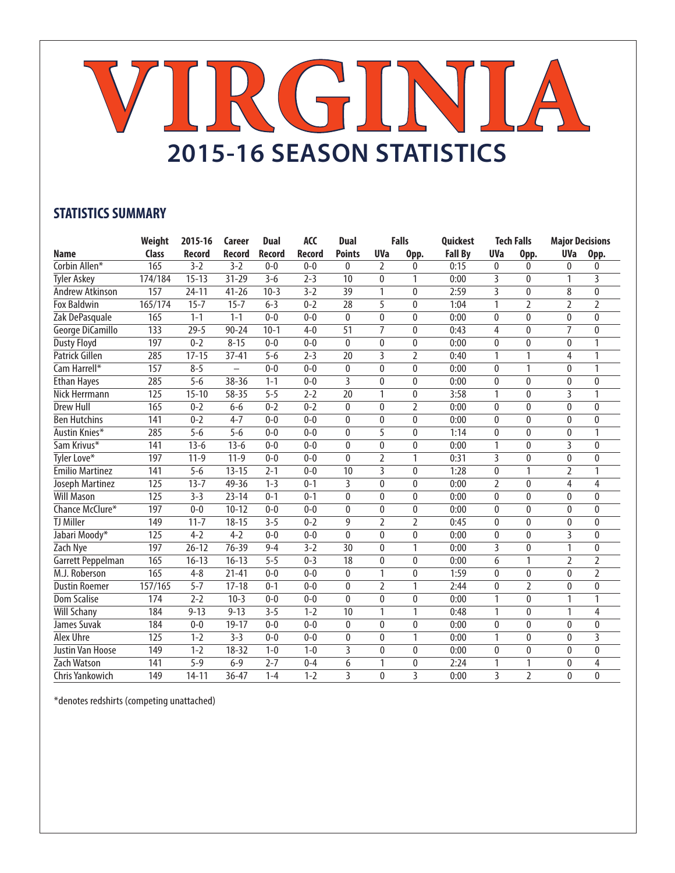## **VIRGINIA 2015-16 SEASON STATISTICS**

## **STATISTICS SUMMARY**

|                        | Weight           | 2015-16       | Career        | <b>Dual</b>   | <b>ACC</b>    | <b>Dual</b>     |                | <b>Falls</b>   | Quickest       |                | <b>Tech Falls</b> | <b>Major Decisions</b> |                |
|------------------------|------------------|---------------|---------------|---------------|---------------|-----------------|----------------|----------------|----------------|----------------|-------------------|------------------------|----------------|
| <b>Name</b>            | <b>Class</b>     | <b>Record</b> | <b>Record</b> | <b>Record</b> | <b>Record</b> | <b>Points</b>   | <b>UVa</b>     | Opp.           | <b>Fall By</b> | <b>UVa</b>     | Opp.              | <b>UVa</b>             | Opp.           |
| Corbin Allen*          | 165              | $3 - 2$       | $3 - 2$       | $0 - 0$       | $0 - 0$       | 0               | 2              | $\mathbf{0}$   | 0:15           | 0              | 0                 | 0                      | 0              |
| <b>Tyler Askey</b>     | 174/184          | $15 - 13$     | $31 - 29$     | $3 - 6$       | $2 - 3$       | 10              | $\mathbf{0}$   | $\mathbf{1}$   | 0:00           | 3              | $\Omega$          | $\mathbf{1}$           | 3              |
| Andrew Atkinson        | 157              | $24 - 11$     | $41 - 26$     | $10-3$        | $3 - 2$       | 39              | $\mathbf{1}$   | $\theta$       | 2:59           | 3              | 0                 | 8                      | $\mathbf{0}$   |
| <b>Fox Baldwin</b>     | 165/174          | $15 - 7$      | $15 - 7$      | $6 - 3$       | $0 - 2$       | $\overline{28}$ | 5              | $\theta$       | 1:04           | $\mathbf{1}$   | 2                 | $\overline{2}$         | $\overline{2}$ |
| Zak DePasquale         | 165              | $1 - 1$       | $1 - 1$       | $0 - 0$       | $0 - 0$       | $\mathbf{0}$    | $\mathbf{0}$   | $\mathbf{0}$   | 0:00           | 0              | 0                 | $\mathbf{0}$           | $\mathbf{0}$   |
| George DiCamillo       | 133              | $29 - 5$      | $90 - 24$     | $10-1$        | $4-0$         | $\overline{51}$ | $\overline{7}$ | $\mathbf{0}$   | 0:43           | $\overline{4}$ | 0                 | $\overline{7}$         | $\mathbf{0}$   |
| <b>Dusty Floyd</b>     | 197              | $0 - 2$       | $8 - 15$      | $0 - 0$       | $0 - 0$       | 0               | 0              | $\mathbf{0}$   | 0:00           | 0              | 0                 | 0                      | 1              |
| Patrick Gillen         | 285              | $17 - 15$     | $37 - 41$     | $5-6$         | $2 - 3$       | $\overline{20}$ | 3              | $\overline{2}$ | 0:40           | 1              | 1                 | 4                      | 1              |
| Cam Harrell*           | 157              | $8 - 5$       |               | $0 - 0$       | $0 - 0$       | 0               | $\mathbf{0}$   | $\mathbf{0}$   | 0:00           | 0              | 1                 | $\mathbf{0}$           | 1              |
| <b>Ethan Hayes</b>     | 285              | $5-6$         | 38-36         | $1 - 1$       | $0 - 0$       | $\overline{3}$  | $\mathbf{0}$   | $\mathbf{0}$   | 0:00           | 0              | 0                 | $\mathbf{0}$           | $\theta$       |
| Nick Herrmann          | 125              | $15 - 10$     | 58-35         | $5 - 5$       | $2 - 2$       | 20              | 1              | $\mathbf{0}$   | 3:58           | 1              | 0                 | 3                      | 1              |
| <b>Drew Hull</b>       | 165              | $0 - 2$       | $6-6$         | $0 - 2$       | $0 - 2$       | $\mathbf{0}$    | $\mathbf{0}$   | $\overline{2}$ | 0:00           | $\bf{0}$       | 0                 | $\mathbf{0}$           | $\mathbf{0}$   |
| <b>Ben Hutchins</b>    | 141              | $0 - 2$       | $4 - 7$       | $0 - 0$       | $0 - 0$       | $\mathbf{0}$    | $\mathbf{0}$   | $\mathbf{0}$   | 0:00           | 0              | 0                 | $\mathbf{0}$           | $\mathbf{0}$   |
| Austin Knies*          | 285              | $5 - 6$       | $5 - 6$       | $0 - 0$       | $0 - 0$       | $\mathbf{0}$    | $\overline{5}$ | $\pmb{0}$      | 1:14           | 0              | 0                 | $\mathbf{0}$           | 1              |
| Sam Krivus*            | 141              | $13-6$        | $13 - 6$      | $0 - 0$       | $0 - 0$       | $\mathbf{0}$    | $\Omega$       | $\Omega$       | 0:00           | 1              | $\mathbf{0}$      | 3                      | $\Omega$       |
| Tyler Love*            | 197              | $11-9$        | $11 - 9$      | $0 - 0$       | $0 - 0$       | $\theta$        | $\overline{2}$ | 1              | 0:31           | 3              | 0                 | $\mathbf{0}$           | $\Omega$       |
| <b>Emilio Martinez</b> | 141              | $5-6$         | $13 - 15$     | $2 - 1$       | $0 - 0$       | 10              | 3              | $\theta$       | 1:28           | 0              | 1                 | $\overline{2}$         | 1              |
| Joseph Martinez        | $\overline{125}$ | $13 - 7$      | 49-36         | $1 - 3$       | $0 - 1$       | 3               | $\Omega$       | $\mathbf{0}$   | 0:00           | $\overline{2}$ | 0                 | 4                      | 4              |
| <b>Will Mason</b>      | $\overline{125}$ | $3 - 3$       | $23 - 14$     | $0 - 1$       | $0 - 1$       | $\mathbf{0}$    | $\theta$       | $\mathbf{0}$   | 0:00           | $\mathbf{0}$   | 0                 | $\mathbf{0}$           | 0              |
| Chance McClure*        | 197              | $0 - 0$       | $10 - 12$     | $0 - 0$       | $0 - 0$       | $\mathbf{0}$    | $\mathbf{0}$   | $\mathbf 0$    | 0:00           | 0              | 0                 | $\mathbf{0}$           | 0              |
| <b>TJ Miller</b>       | 149              | $11 - 7$      | $18 - 15$     | $3 - 5$       | $0 - 2$       | 9               | $\overline{2}$ | $\overline{2}$ | 0:45           | $\mathbf{0}$   | $\mathbf{0}$      | $\mathbf{0}$           | $\mathbf{0}$   |
| Jabari Moody*          | 125              | $4 - 2$       | $4 - 2$       | $0 - 0$       | $0 - 0$       | $\mathbf{0}$    | $\Omega$       | $\mathbf{0}$   | 0:00           | $\pmb{0}$      | 0                 | 3                      | $\mathbf{0}$   |
| Zach Nye               | 197              | $26 - 12$     | 76-39         | $9 - 4$       | $3 - 2$       | 30              | $\mathbf{0}$   | 1              | 0:00           | 3              | 0                 | $\mathbf{1}$           | 0              |
| Garrett Peppelman      | 165              | $16 - 13$     | $16 - 13$     | $5 - 5$       | $0 - 3$       | 18              | $\mathbf{0}$   | 0              | 0:00           | 6              | 1                 | $\overline{2}$         | 2              |
| M.J. Roberson          | 165              | $4 - 8$       | $21 - 41$     | $0 - 0$       | $0 - 0$       | $\mathbf{0}$    | $\mathbf{1}$   | $\mathbf{0}$   | 1:59           | 0              | 0                 | $\bf{0}$               | 2              |
| <b>Dustin Roemer</b>   | 157/165          | $5 - 7$       | $17 - 18$     | $0 - 1$       | $0 - 0$       | $\mathbf{0}$    | $\overline{2}$ | 1              | 2:44           | 0              | 2                 | $\mathbf{0}$           | 0              |
| <b>Dom Scalise</b>     | 174              | $2 - 2$       | $10-3$        | $0 - 0$       | $0 - 0$       | $\mathbf{0}$    | $\mathbf{0}$   | $\mathbf{0}$   | 0:00           | $\mathbf{1}$   | $\mathbf{0}$      | $\mathbf{1}$           | 1              |
| <b>Will Schany</b>     | 184              | $9 - 13$      | $9 - 13$      | $3 - 5$       | $1 - 2$       | $\overline{10}$ | $\mathbf{1}$   | 1              | 0:48           | $\mathbf{1}$   | $\mathbf{0}$      | 1                      | 4              |
| James Suvak            | 184              | $0 - 0$       | $19 - 17$     | $0 - 0$       | $0 - 0$       | $\theta$        | $\theta$       | $\mathbf{0}$   | 0:00           | $\mathbf{0}$   | $\mathbf{0}$      | $\theta$               | $\mathbf{0}$   |
| <b>Alex Uhre</b>       | 125              | $1 - 2$       | $3 - 3$       | $0 - 0$       | $0 - 0$       | 0               | $\mathbf{0}$   | $\mathbf{1}$   | 0:00           | 1              | 0                 | $\mathbf{0}$           | 3              |
| Justin Van Hoose       | 149              | $1 - 2$       | $18 - 32$     | $1 - 0$       | $1 - 0$       | 3               | $\theta$       | $\mathbf{0}$   | 0:00           | $\mathbf{0}$   | $\mathbf{0}$      | $\theta$               | $\mathbf{0}$   |
| Zach Watson            | 141              | $5 - 9$       | $6 - 9$       | $2 - 7$       | $0 - 4$       | 6               | 1              | 0              | 2:24           | 1              | 1                 | $\mathbf{0}$           | 4              |
| Chris Yankowich        | 149              | $14 - 11$     | $36 - 47$     | $1 - 4$       | $1 - 2$       | 3               | 0              | 3              | 0:00           | 3              | 2                 | 0                      | 0              |

\*denotes redshirts (competing unattached)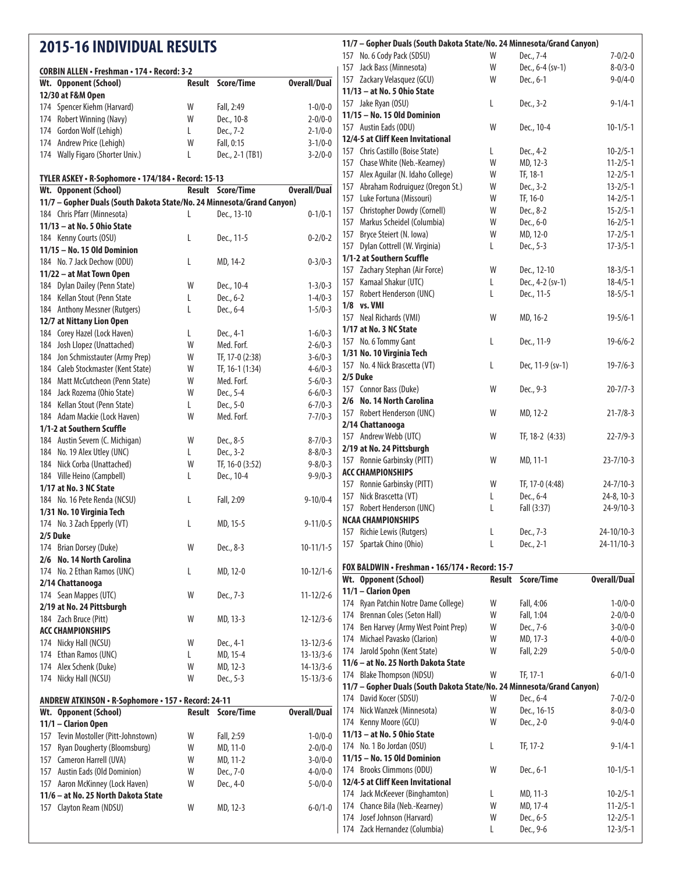## **2015-16 INDIVIDUAL RESULTS**

2/6 No. 14 North Carolina

2/19 at No. 24 Pittsburgh

ANDREW ATKINSON · R-Sophomore · 157 · Record: 24-11

**ACC CHAMPIONSHIPS**

11/1 - Clarion Open

11/6 - at No. 25 North Dakota State

2/14 Chattanooga

| Wt. Opponent (School)                                                  | <b>Result</b> | Score/Time               | <b>Overall/Dual</b> |
|------------------------------------------------------------------------|---------------|--------------------------|---------------------|
| 12/30 at F&M Open                                                      |               |                          |                     |
| 174 Spencer Kiehm (Harvard)                                            | W             | Fall, 2:49               | $1 - 0/0 - 0$       |
| 174 Robert Winning (Navy)                                              | W             | Dec., 10-8               | $2 - 0/0 - 0$       |
| 174 Gordon Wolf (Lehigh)                                               | L             | Dec., 7-2                | $2 - 1/0 - 0$       |
| 174 Andrew Price (Lehigh)                                              | W             | Fall, 0:15               | $3 - 1/0 - 0$       |
| 174 Wally Figaro (Shorter Univ.)                                       | L             | Dec., 2-1 (TB1)          | $3 - 2/0 - 0$       |
| TYLER ASKEY • R-Sophomore • 174/184 • Record: 15-13                    |               |                          |                     |
| Wt. Opponent (School)                                                  |               | <b>Result Score/Time</b> | <b>Overall/Dual</b> |
| 11/7 - Gopher Duals (South Dakota State/No. 24 Minnesota/Grand Canyon) |               |                          |                     |
| 184 Chris Pfarr (Minnesota)                                            | L             | Dec., 13-10              | $0 - 1/0 - 1$       |
| 11/13 - at No. 5 Ohio State                                            |               |                          |                     |
| 184 Kenny Courts (OSU)                                                 | L             | Dec., 11-5               | $0 - 2/0 - 2$       |
| 11/15 - No. 15 Old Dominion                                            |               |                          |                     |
| 184 No. 7 Jack Dechow (ODU)                                            | L             | MD, 14-2                 | $0 - 3/0 - 3$       |
| 11/22 - at Mat Town Open                                               |               |                          |                     |
| 184 Dylan Dailey (Penn State)                                          | W             | Dec., 10-4               | $1 - 3/0 - 3$       |
| 184 Kellan Stout (Penn State                                           | L             | Dec., 6-2                | $1 - 4/0 - 3$       |
| 184 Anthony Messner (Rutgers)                                          | L             | Dec., 6-4                | $1 - 5/0 - 3$       |
| 12/7 at Nittany Lion Open                                              |               |                          |                     |
| 184 Corey Hazel (Lock Haven)                                           | L             | Dec., 4-1                | $1 - 6/0 - 3$       |
| 184 Josh Llopez (Unattached)                                           | W             | Med. Forf.               | $2 - 6/0 - 3$       |
| 184 Jon Schmisstauter (Army Prep)                                      | W             | TF, 17-0 (2:38)          | $3 - 6/0 - 3$       |
| 184 Caleb Stockmaster (Kent State)                                     | W             | TF, 16-1 (1:34)          | $4 - 6/0 - 3$       |
| 184 Matt McCutcheon (Penn State)                                       | W             | Med. Forf.               | $5 - 6/0 - 3$       |
| 184 Jack Rozema (Ohio State)                                           | W             | Dec., 5-4                | $6 - 6/0 - 3$       |
| 184 Kellan Stout (Penn State)                                          | L             | Dec., 5-0                | $6 - 7/0 - 3$       |
| 184 Adam Mackie (Lock Haven)                                           | W             | Med. Forf.               | $7 - 7/0 - 3$       |
| 1/1-2 at Southern Scuffle                                              |               |                          |                     |
| 184 Austin Severn (C. Michigan)                                        | W             | Dec., 8-5                | $8 - 7/0 - 3$       |
| 184 No. 19 Alex Utley (UNC)                                            | L             | Dec., 3-2                | $8 - 8/0 - 3$       |
| 184 Nick Corba (Unattached)                                            | W             | TF, 16-0 (3:52)          | $9 - 8/0 - 3$       |
| 184 Ville Heino (Campbell)                                             | L             | Dec., 10-4               | $9 - 9/0 - 3$       |
| 1/17 at No. 3 NC State                                                 |               |                          |                     |
| 184 No. 16 Pete Renda (NCSU)                                           | L             | Fall, 2:09               | $9 - 10/0 - 4$      |
| 1/31 No. 10 Virginia Tech                                              |               |                          |                     |
| 174 No. 3 Zach Epperly (VT)                                            | L             | MD, 15-5                 | $9 - 11/0 - 5$      |
| 2/5 Duke                                                               |               |                          |                     |

## Brian Dorsey (Duke) W Dec., 8-3 10-11/1-5 No. 2 Ethan Ramos (UNC) L MD, 12-0 10-12/1-6 Sean Mappes (UTC) W Dec., 7-3 11-12/2-6 Zach Bruce (Pitt) W MD, 13-3 12-12/3-6 174 Nicky Hall (NCSU) W Dec., 4-1 13-12/3-6 Ethan Ramos (UNC) L MD, 15-4 13-13/3-6 Alex Schenk (Duke) W MD, 12-3 14-13/3-6 174 Nicky Hall (NCSU) W Dec., 5-3 15-13/3-6 **Wt. Opponent (School) Result Score/Time Overall/Dual** Tevin Mostoller (Pitt-Johnstown) W Fall, 2:59 1-0/0-0 Ryan Dougherty (Bloomsburg) W MD, 11-0 2-0/0-0 Cameron Harrell (UVA) W MD, 11-2 3-0/0-0 Austin Eads (Old Dominion) W Dec., 7-0 4-0/0-0 Aaron McKinney (Lock Haven) W Dec., 4-0 5-0/0-0 Clayton Ream (NDSU) W MD, 12-3 6-0/1-0 **11/13 - at No. 5 Ohio State**  Jake Ryan (OSU) L Dec., 3-2 9-1/4-1 **11/15 - No. 15 Old Dominion**  Austin Eads (ODU) W Dec., 10-4 10-1/5-1 **12/4-5 at Cliff Keen Invitational**  Chris Castillo (Boise State) L Dec., 4-2 10-2/5-1 Chase White (Neb.-Kearney) W MD, 12-3 11-2/5-1 Alex Aguilar (N. Idaho College) W TF, 18-1 12-2/5-1 Abraham Rodruiguez (Oregon St.) W Dec., 3-2 13-2/5-1 Luke Fortuna (Missouri) W TF, 16-0 14-2/5-1 Christopher Dowdy (Cornell) W Dec., 8-2 15-2/5-1 Markus Scheidel (Columbia) W Dec., 6-0 16-2/5-1 Bryce Steiert (N. Iowa) W MD, 12-0 17-2/5-1 Dylan Cottrell (W. Virginia) L Dec., 5-3 17-3/5-1 **1/1-2 at Southern Scuffle** Zachary Stephan (Air Force) W Dec., 12-10 18-3/5-1 Kamaal Shakur (UTC) L Dec., 4-2 (sv-1) 18-4/5-1 Robert Henderson (UNC) L Dec., 11-5 18-5/5-1 **1/8** vs. **VMI**  Neal Richards (VMI) W MD, 16-2 19-5/6-1 **1/17 at No. 3 NC State** 157 No. 6 Tommy Gant L Dec., 11-9 19-6/6-2 **1/31 No. 10 Virginia Tech**  No. 4 Nick Brascetta (VT) L Dec, 11-9 (sv-1) 19-7/6-3 **2/5 Duke** Connor Bass (Duke) W Dec., 9-3 20-7/7-3 2/6 No. 14 North Carolina Robert Henderson (UNC) W MD, 12-2 21-7/8-3 2/14 Chattanooga Andrew Webb (UTC) W TF, 18-2 (4:33) 22-7/9-3 2/19 at No. 24 Pittsburgh Ronnie Garbinsky (PITT) W MD, 11-1 23-7/10-3 **ACC CHAMPIONSHIPS** Ronnie Garbinsky (PITT) W TF, 17-0 (4:48) 24-7/10-3 Nick Brascetta (VT) L Dec., 6-4 24-8, 10-3 Robert Henderson (UNC) L Fall (3:37) 24-9/10-3 **NCAA CHAMPIONSHIPS** Richie Lewis (Rutgers) L Dec., 7-3 24-10/10-3 Spartak Chino (Ohio) L Dec., 2-1 24-11/10-3 **FOX BALDWIN · Freshman · 165/174 · Record: 15-7 Wt. Opponent (School) Result Score/Time Overall/Dual** 11/1 - Clarion Open Ryan Patchin Notre Dame College) W Fall, 4:06 1-0/0-0 Brennan Coles (Seton Hall) W Fall, 1:04 2-0/0-0 Ben Harvey (Army West Point Prep) W Dec., 7-6 3-0/0-0 Michael Pavasko (Clarion) W MD, 17-3 4-0/0-0 Jarold Spohn (Kent State) W Fall, 2:29 5-0/0-0 11/6 - at No. 25 North Dakota State 174 Blake Thompson (NDSU) W TF, 17-1 6-0/1-0 11/7 - Gopher Duals (South Dakota State/No. 24 Minnesota/Grand Canyon) David Kocer (SDSU) W Dec., 6-4 7-0/2-0 Nick Wanzek (Minnesota) W Dec., 16-15 8-0/3-0 Kenny Moore (GCU) W Dec., 2-0 9-0/4-0 **11/13 - at No. 5 Ohio State**  No. 1 Bo Jordan (OSU) L TF, 17-2 9-1/4-1 **11/15 - No. 15 Old Dominion** 174 Brooks Climmons (ODU) W Dec., 6-1 10-1/5-1 **12/4-5 at Cliff Keen Invitational** 174 Jack McKeever (Binghamton) L MD, 11-3 10-2/5-1 Chance Bila (Neb.-Kearney) W MD, 17-4 11-2/5-1 Josef Johnson (Harvard) W Dec., 6-5 12-2/5-1

Zack Hernandez (Columbia) L Dec., 9-6 12-3/5-1

11/7 - Gopher Duals (South Dakota State/No. 24 Minnesota/Grand Canyon) No. 6 Cody Pack (SDSU) W Dec., 7-4 7-0/2-0 Jack Bass (Minnesota) W Dec., 6-4 (sv-1) 8-0/3-0 Zackary Velasquez (GCU) W Dec., 6-1 9-0/4-0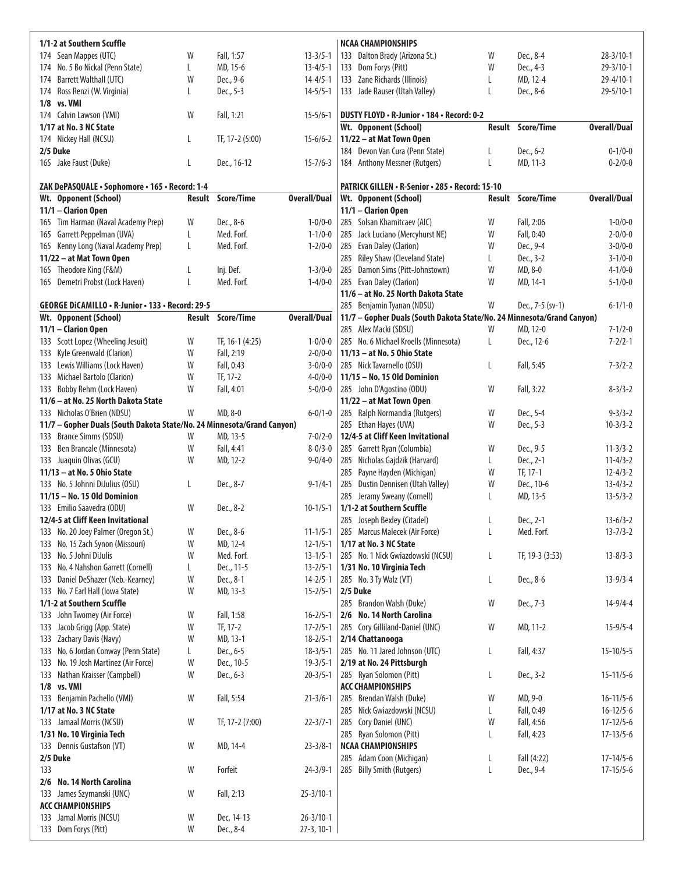| 1/1-2 at Southern Scuffle                                              |        |                          |                                  | <b>NCAA CHAMPIONSHIPS</b>                                              |        |                   |                     |
|------------------------------------------------------------------------|--------|--------------------------|----------------------------------|------------------------------------------------------------------------|--------|-------------------|---------------------|
| 174 Sean Mappes (UTC)                                                  | W      | Fall, 1:57               | $13 - 3/5 - 1$                   | 133 Dalton Brady (Arizona St.)                                         | W      | Dec., 8-4         | $28 - 3/10 - 1$     |
| 174 No. 5 Bo Nickal (Penn State)                                       | L      | MD, 15-6                 | $13 - 4/5 - 1$                   | 133 Dom Forys (Pitt)                                                   | W      | Dec., 4-3         | $29 - 3/10 - 1$     |
| 174 Barrett Walthall (UTC)                                             | W      | Dec., 9-6                | $14 - 4/5 - 1$                   | 133 Zane Richards (Illinois)                                           | L      | MD, 12-4          | 29-4/10-1           |
| 174 Ross Renzi (W. Virginia)                                           | L      | Dec., 5-3                | $14 - 5/5 - 1$                   | 133 Jade Rauser (Utah Valley)                                          | L      | Dec., 8-6         | $29 - 5/10 - 1$     |
| $1/8$ vs. VMI                                                          |        |                          |                                  |                                                                        |        |                   |                     |
| 174 Calvin Lawson (VMI)                                                | W      | Fall, 1:21               | $15 - 5/6 - 1$                   | DUSTY FLOYD . R-Junior . 184 . Record: 0-2                             |        |                   |                     |
| 1/17 at No. 3 NC State                                                 |        |                          |                                  | Wt. Opponent (School)                                                  | Result | <b>Score/Time</b> | <b>Overall/Dual</b> |
| 174 Nickey Hall (NCSU)                                                 | L      | TF, 17-2 (5:00)          | $15-6/6-2$                       | 11/22 - at Mat Town Open                                               |        |                   |                     |
| 2/5 Duke                                                               |        |                          |                                  | 184 Devon Van Cura (Penn State)                                        | L      | Dec., 6-2         | $0 - 1/0 - 0$       |
| 165 Jake Faust (Duke)                                                  | L      | Dec., 16-12              | $15 - 7/6 - 3$                   | 184 Anthony Messner (Rutgers)                                          | L      | MD, 11-3          | $0 - 2/0 - 0$       |
|                                                                        |        |                          |                                  |                                                                        |        |                   |                     |
| ZAK DePASQUALE · Sophomore · 165 · Record: 1-4                         |        |                          |                                  | PATRICK GILLEN • R-Senior • 285 • Record: 15-10                        |        |                   |                     |
| Wt. Opponent (School)                                                  |        | <b>Result Score/Time</b> | <b>Overall/Dual</b>              | Wt. Opponent (School)                                                  | Result | <b>Score/Time</b> | <b>Overall/Dual</b> |
| 11/1 - Clarion Open                                                    |        |                          |                                  | 11/1 - Clarion Open                                                    |        |                   |                     |
| 165 Tim Harman (Naval Academy Prep)                                    | W      | Dec., 8-6                | $1 - 0/0 - 0$                    | Solsan Khamitcaev (AIC)<br>285                                         | W      | Fall, 2:06        | $1 - 0/0 - 0$       |
| 165 Garrett Peppelman (UVA)                                            | L      | Med. Forf.               | $1 - 1/0 - 0$                    | Jack Luciano (Mercyhurst NE)<br>285                                    | W      | Fall, 0:40        | $2 - 0/0 - 0$       |
| 165 Kenny Long (Naval Academy Prep)                                    | L      | Med. Forf.               | $1 - 2/0 - 0$                    | 285 Evan Daley (Clarion)                                               | W      | Dec., 9-4         | $3 - 0/0 - 0$       |
| 11/22 - at Mat Town Open                                               |        |                          |                                  | Riley Shaw (Cleveland State)<br>285                                    | L      | Dec., 3-2         | $3 - 1/0 - 0$       |
| 165 Theodore King (F&M)                                                | L      | Inj. Def.                | $1 - 3/0 - 0$                    | 285<br>Damon Sims (Pitt-Johnstown)                                     | W      | MD, 8-0           | $4 - 1/0 - 0$       |
| 165 Demetri Probst (Lock Haven)                                        | L      | Med. Forf.               | $1 - 4/0 - 0$                    | Evan Daley (Clarion)<br>285                                            | W      | MD, 14-1          | $5 - 1/0 - 0$       |
|                                                                        |        |                          |                                  | 11/6 - at No. 25 North Dakota State                                    |        |                   |                     |
| GEORGE DICAMILLO . R-Junior . 133 . Record: 29-5                       |        |                          |                                  | 285 Benjamin Tyanan (NDSU)                                             | W      | Dec., 7-5 (sv-1)  | $6 - 1/1 - 0$       |
| Wt. Opponent (School)                                                  |        | <b>Result Score/Time</b> | <b>Overall/Dual</b>              | 11/7 - Gopher Duals (South Dakota State/No. 24 Minnesota/Grand Canyon) |        |                   |                     |
| 11/1 - Clarion Open                                                    |        |                          |                                  | 285 Alex Macki (SDSU)                                                  | W      | MD, 12-0          | $7 - 1/2 - 0$       |
| 133 Scott Lopez (Wheeling Jesuit)                                      | W      | TF, 16-1 (4:25)          | $1 - 0/0 - 0$                    | 285 No. 6 Michael Kroells (Minnesota)                                  | L      | Dec., 12-6        | $7 - 2/2 - 1$       |
| 133 Kyle Greenwald (Clarion)                                           | W      | Fall, 2:19               | $2 - 0/0 - 0$                    | 11/13 - at No. 5 Ohio State                                            |        |                   |                     |
| 133 Lewis Williams (Lock Haven)                                        | W      | Fall, 0:43               | $3 - 0/0 - 0$                    | 285 Nick Tavarnello (OSU)                                              | L      | Fall, 5:45        | $7 - 3/2 - 2$       |
| 133 Michael Bartolo (Clarion)                                          | W      | TF, 17-2                 | $4 - 0/0 - 0$                    | 11/15 - No. 15 Old Dominion                                            |        |                   |                     |
| 133 Bobby Rehm (Lock Haven)                                            | W      | Fall, 4:01               | $5 - 0/0 - 0$                    | 285 John D'Agostino (ODU)                                              | W      | Fall, 3:22        | $8 - 3/3 - 2$       |
| 11/6 - at No. 25 North Dakota State                                    |        |                          |                                  | 11/22 - at Mat Town Open                                               |        |                   |                     |
| 133 Nicholas O'Brien (NDSU)                                            | W      | MD, 8-0                  | $6 - 0/1 - 0$                    | Ralph Normandia (Rutgers)<br>285                                       | W      | Dec., 5-4         | $9 - 3/3 - 2$       |
| 11/7 - Gopher Duals (South Dakota State/No. 24 Minnesota/Grand Canyon) |        |                          |                                  | 285 Ethan Hayes (UVA)                                                  | W      | Dec., 5-3         | $10 - 3/3 - 2$      |
| 133 Brance Simms (SDSU)                                                | W      | MD, 13-5                 | $7 - 0/2 - 0$                    | 12/4-5 at Cliff Keen Invitational                                      |        |                   |                     |
| 133 Ben Brancale (Minnesota)                                           | W      | Fall, 4:41               | $8 - 0/3 - 0$                    | 285 Garrett Ryan (Columbia)                                            | W      | Dec., 9-5         | $11 - 3/3 - 2$      |
| 133 Juaquin Olivas (GCU)                                               | W      | MD, 12-2                 | $9 - 0/4 - 0$                    | Nicholas Gajdzik (Harvard)<br>285                                      | L      | Dec., 2-1         | $11 - 4/3 - 2$      |
| 11/13 - at No. 5 Ohio State                                            |        |                          |                                  | Payne Hayden (Michigan)<br>285                                         | W      | TF, 17-1          | $12 - 4/3 - 2$      |
| 133 No. 5 Johnni DiJulius (OSU)                                        | L      | Dec., 8-7                | $9 - 1/4 - 1$                    | Dustin Dennisen (Utah Valley)<br>285                                   | W      | Dec., 10-6        | $13 - 4/3 - 2$      |
| 11/15 - No. 15 Old Dominion                                            |        |                          |                                  | Jeramy Sweany (Cornell)<br>285                                         | L      | MD, 13-5          | $13 - 5/3 - 2$      |
| 133 Emilio Saavedra (ODU)                                              | W      | Dec., 8-2                | $10 - 1/5 - 1$                   | 1/1-2 at Southern Scuffle                                              |        |                   |                     |
| 12/4-5 at Cliff Keen Invitational                                      |        |                          |                                  | 285<br>Joseph Bexley (Citadel)                                         | L      | Dec., 2-1         | $13-6/3-2$          |
| 133 No. 20 Joey Palmer (Oregon St.)                                    | W      | Dec., 8-6<br>MD, 12-4    | $11 - 1/5 - 1$                   | 285 Marcus Malecek (Air Force)<br>1/17 at No. 3 NC State               | L      | Med. Forf.        | $13 - 7/3 - 2$      |
| 133 No. 15 Zach Synon (Missouri)<br>133 No. 5 Johni DiJulis            | W<br>W | Med. Forf.               | $12 - 1/5 - 1$<br>$13 - 1/5 - 1$ | 285 No. 1 Nick Gwiazdowski (NCSU)                                      |        | TF, 19-3 (3:53)   | $13 - 8/3 - 3$      |
| 133 No. 4 Nahshon Garrett (Cornell)                                    | L      | Dec., 11-5               | $13 - 2/5 - 1$                   | 1/31 No. 10 Virginia Tech                                              | L      |                   |                     |
| 133 Daniel DeShazer (Neb.-Kearney)                                     | W      | Dec., 8-1                | $14 - 2/5 - 1$                   | 285 No. 3 Ty Walz (VT)                                                 | L      | Dec., 8-6         | $13 - 9/3 - 4$      |
| 133 No. 7 Earl Hall (Iowa State)                                       | W      | MD, 13-3                 | $15 - 2/5 - 1$                   | 2/5 Duke                                                               |        |                   |                     |
| 1/1-2 at Southern Scuffle                                              |        |                          |                                  | 285 Brandon Walsh (Duke)                                               | W      | Dec., 7-3         | $14-9/4-4$          |
| 133 John Twomey (Air Force)                                            | W      | Fall, 1:58               | $16 - 2/5 - 1$                   | 2/6 No. 14 North Carolina                                              |        |                   |                     |
| 133 Jacob Grigg (App. State)                                           | W      | TF, 17-2                 | $17 - 2/5 - 1$                   | 285 Cory Gilliland-Daniel (UNC)                                        | W      | MD, 11-2          | $15 - 9/5 - 4$      |
| Zachary Davis (Navy)<br>133                                            | W      | MD, 13-1                 | $18 - 2/5 - 1$                   | 2/14 Chattanooga                                                       |        |                   |                     |
| 133 No. 6 Jordan Conway (Penn State)                                   | L      | Dec., 6-5                | $18 - 3/5 - 1$                   | 285 No. 11 Jared Johnson (UTC)                                         | L      | Fall, 4:37        | $15 - 10/5 - 5$     |
| 133 No. 19 Josh Martinez (Air Force)                                   | W      | Dec., 10-5               | $19 - 3/5 - 1$                   | 2/19 at No. 24 Pittsburgh                                              |        |                   |                     |
| Nathan Kraisser (Campbell)<br>133                                      | W      | Dec., 6-3                | $20 - 3/5 - 1$                   | 285 Ryan Solomon (Pitt)                                                | L      | Dec., 3-2         | $15 - 11/5 - 6$     |
| 1/8 vs. VMI                                                            |        |                          |                                  | <b>ACC CHAMPIONSHIPS</b>                                               |        |                   |                     |
| Benjamin Pachello (VMI)<br>133                                         | W      | Fall, 5:54               | $21 - 3/6 - 1$                   | 285<br>Brendan Walsh (Duke)                                            | W      | MD, 9-0           | $16 - 11/5 - 6$     |
| 1/17 at No. 3 NC State                                                 |        |                          |                                  | Nick Gwiazdowski (NCSU)<br>285                                         | L      | Fall, 0:49        | $16 - 12/5 - 6$     |
| 133 Jamaal Morris (NCSU)                                               | W      | TF, 17-2 (7:00)          | $22 - 3/7 - 1$                   | 285 Cory Daniel (UNC)                                                  | W      | Fall, 4:56        | $17 - 12/5 - 6$     |
| 1/31 No. 10 Virginia Tech                                              |        |                          |                                  | 285 Ryan Solomon (Pitt)                                                | L      | Fall, 4:23        | $17 - 13/5 - 6$     |
| 133 Dennis Gustafson (VT)                                              | W      | MD, 14-4                 | $23 - 3/8 - 1$                   | <b>NCAA CHAMPIONSHIPS</b>                                              |        |                   |                     |
| 2/5 Duke                                                               |        |                          |                                  | 285 Adam Coon (Michigan)                                               | L      | Fall (4:22)       | $17 - 14/5 - 6$     |
| 133                                                                    | W      | Forfeit                  | $24 - 3/9 - 1$                   | 285 Billy Smith (Rutgers)                                              | L      | Dec., 9-4         | $17 - 15/5 - 6$     |
| 2/6 No. 14 North Carolina                                              |        |                          |                                  |                                                                        |        |                   |                     |
| 133 James Szymanski (UNC)                                              | W      | Fall, 2:13               | $25 - 3/10 - 1$                  |                                                                        |        |                   |                     |
| <b>ACC CHAMPIONSHIPS</b>                                               |        |                          |                                  |                                                                        |        |                   |                     |
| 133 Jamal Morris (NCSU)                                                | W      | Dec, 14-13               | $26 - 3/10 - 1$                  |                                                                        |        |                   |                     |
| 133 Dom Forys (Pitt)                                                   | W      | Dec., 8-4                | 27-3, 10-1                       |                                                                        |        |                   |                     |
|                                                                        |        |                          |                                  |                                                                        |        |                   |                     |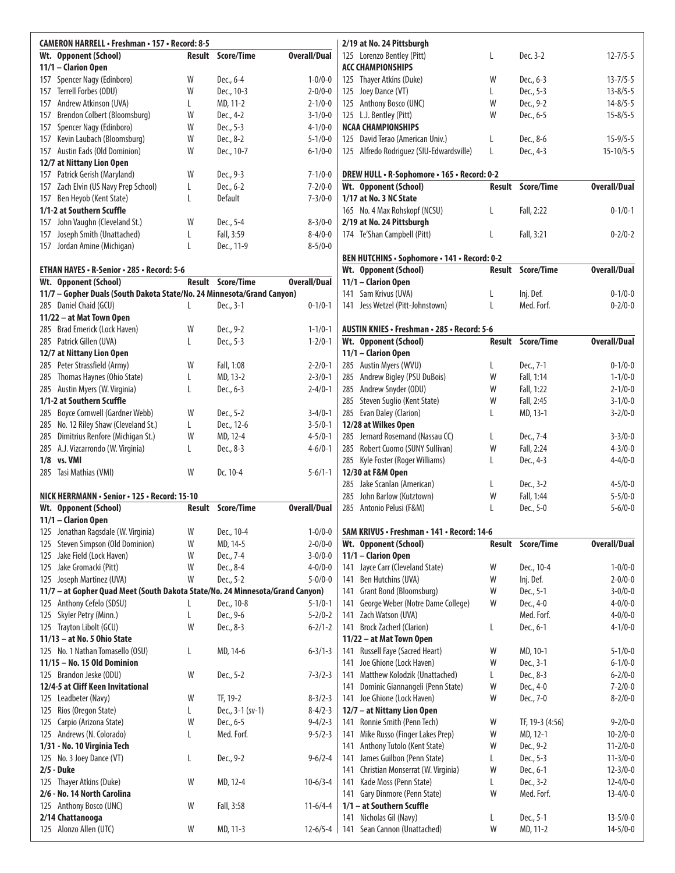| <b>CAMERON HARRELL • Freshman • 157 • Record: 8-5</b>                         |   |                          |                     |     | 2/19 at No. 24 Pittsburgh                    |   |                   |                     |
|-------------------------------------------------------------------------------|---|--------------------------|---------------------|-----|----------------------------------------------|---|-------------------|---------------------|
| Wt. Opponent (School)                                                         |   | <b>Result Score/Time</b> | <b>Overall/Dual</b> |     | 125 Lorenzo Bentley (Pitt)                   | L | Dec. 3-2          | $12 - 7/5 - 5$      |
| 11/1 - Clarion Open                                                           |   |                          |                     |     | <b>ACC CHAMPIONSHIPS</b>                     |   |                   |                     |
| Spencer Nagy (Edinboro)<br>157                                                | W | Dec., 6-4                | $1 - 0/0 - 0$       |     | 125 Thayer Atkins (Duke)                     | W | Dec., 6-3         | $13 - 7/5 - 5$      |
| Terrell Forbes (ODU)<br>157                                                   | W | Dec., 10-3               | $2 - 0/0 - 0$       |     | 125 Joey Dance (VT)                          | L | Dec., 5-3         | $13 - 8/5 - 5$      |
| Andrew Atkinson (UVA)<br>157                                                  | L | MD, 11-2                 | $2 - 1/0 - 0$       |     | 125 Anthony Bosco (UNC)                      | W | Dec., 9-2         | $14 - 8/5 - 5$      |
| Brendon Colbert (Bloomsburg)<br>157                                           | W | Dec., 4-2                | $3 - 1/0 - 0$       |     | 125 L.J. Bentley (Pitt)                      | W | Dec., 6-5         | $15 - 8/5 - 5$      |
| Spencer Nagy (Edinboro)<br>157                                                | W | Dec., 5-3                | $4 - 1/0 - 0$       |     | <b>NCAA CHAMPIONSHIPS</b>                    |   |                   |                     |
| Kevin Laubach (Bloomsburg)<br>157                                             | W | Dec., 8-2                | $5 - 1/0 - 0$       |     | 125 David Terao (American Univ.)             | L | Dec., 8-6         | $15 - 9/5 - 5$      |
| Austin Eads (Old Dominion)<br>157                                             | W | Dec., 10-7               | $6 - 1/0 - 0$       |     | 125 Alfredo Rodriguez (SIU-Edwardsville)     | L | Dec., 4-3         | $15 - 10/5 - 5$     |
| 12/7 at Nittany Lion Open                                                     |   |                          |                     |     |                                              |   |                   |                     |
| 157 Patrick Gerish (Maryland)                                                 | W | Dec., 9-3                | $7 - 1/0 - 0$       |     | DREW HULL . R-Sophomore . 165 . Record: 0-2  |   |                   |                     |
| 157 Zach Elvin (US Navy Prep School)                                          | L | Dec., 6-2                | $7 - 2/0 - 0$       |     | Wt. Opponent (School)                        |   | Result Score/Time | <b>Overall/Dual</b> |
| Ben Heyob (Kent State)<br>157                                                 | L | Default                  | $7 - 3/0 - 0$       |     | 1/17 at No. 3 NC State                       |   |                   |                     |
| 1/1-2 at Southern Scuffle                                                     |   |                          |                     |     | 165 No. 4 Max Rohskopf (NCSU)                | L | Fall, 2:22        | $0 - 1/0 - 1$       |
| John Vaughn (Cleveland St.)<br>157                                            | W | Dec., 5-4                | $8 - 3/0 - 0$       |     | 2/19 at No. 24 Pittsburgh                    |   |                   |                     |
| Joseph Smith (Unattached)<br>157                                              | L | Fall, 3:59               | $8 - 4/0 - 0$       |     | 174 Te'Shan Campbell (Pitt)                  | L | Fall, 3:21        | $0 - 2/0 - 2$       |
| 157 Jordan Amine (Michigan)                                                   | L | Dec., 11-9               | $8 - 5/0 - 0$       |     |                                              |   |                   |                     |
|                                                                               |   |                          |                     |     | BEN HUTCHINS · Sophomore · 141 · Record: 0-2 |   |                   |                     |
| ETHAN HAYES . R-Senior . 285 . Record: 5-6                                    |   |                          |                     |     | Wt. Opponent (School)                        |   | Result Score/Time | <b>Overall/Dual</b> |
| Wt. Opponent (School)                                                         |   | Result Score/Time        | <b>Overall/Dual</b> |     | 11/1 - Clarion Open                          |   |                   |                     |
| 11/7 - Gopher Duals (South Dakota State/No. 24 Minnesota/Grand Canyon)        |   |                          |                     |     | 141 Sam Krivus (UVA)                         | Г | Inj. Def.         | $0 - 1/0 - 0$       |
| 285 Daniel Chaid (GCU)                                                        | L | Dec., 3-1                | $0 - 1/0 - 1$       |     | 141 Jess Wetzel (Pitt-Johnstown)             | L | Med. Forf.        | $0 - 2/0 - 0$       |
| 11/22 - at Mat Town Open                                                      |   |                          |                     |     |                                              |   |                   |                     |
| 285 Brad Emerick (Lock Haven)                                                 | W | Dec., 9-2                | $1 - 1/0 - 1$       |     | AUSTIN KNIES • Freshman • 285 • Record: 5-6  |   |                   |                     |
| 285 Patrick Gillen (UVA)                                                      | L | Dec., 5-3                | $1 - 2/0 - 1$       |     | Wt. Opponent (School)                        |   | Result Score/Time | <b>Overall/Dual</b> |
| 12/7 at Nittany Lion Open                                                     |   |                          |                     |     | 11/1 - Clarion Open                          |   |                   |                     |
| 285 Peter Strassfield (Army)                                                  | W | Fall, 1:08               | $2 - 2/0 - 1$       |     | 285 Austin Myers (WVU)                       | L | Dec., 7-1         | $0 - 1/0 - 0$       |
| Thomas Haynes (Ohio State)<br>285                                             | L | MD, 13-2                 | $2 - 3/0 - 1$       |     | 285 Andrew Bigley (PSU DuBois)               | W | Fall, 1:14        | $1 - 1/0 - 0$       |
| 285 Austin Myers (W. Virginia)                                                | L | Dec., 6-3                | $2 - 4/0 - 1$       |     | 285 Andrew Snyder (ODU)                      | W | Fall, 1:22        | $2 - 1/0 - 0$       |
| 1/1-2 at Southern Scuffle                                                     |   |                          |                     |     | 285 Steven Suglio (Kent State)               | W | Fall, 2:45        | $3-1/0-0$           |
| 285 Boyce Cornwell (Gardner Webb)                                             | W | Dec., 5-2                | $3-4/0-1$           |     | 285 Evan Daley (Clarion)                     | L | MD, 13-1          | $3 - 2/0 - 0$       |
| 285 No. 12 Riley Shaw (Cleveland St.)                                         | L | Dec., 12-6               | $3 - 5/0 - 1$       |     | 12/28 at Wilkes Open                         |   |                   |                     |
| Dimitrius Renfore (Michigan St.)<br>285                                       | W | MD, 12-4                 | $4 - 5/0 - 1$       |     | 285 Jernard Rosemand (Nassau CC)             | L | Dec., 7-4         | $3 - 3/0 - 0$       |
| 285 A.J. Vizcarrondo (W. Virginia)                                            | L | Dec., 8-3                | $4 - 6/0 - 1$       |     | 285 Robert Cuomo (SUNY Sullivan)             | W | Fall, 2:24        | $4 - 3/0 - 0$       |
| 1/8 vs. VMI                                                                   |   |                          |                     |     | 285 Kyle Foster (Roger Williams)             | L | Dec., 4-3         | $4 - 4/0 - 0$       |
| 285 Tasi Mathias (VMI)                                                        | W | Dc. 10-4                 | $5 - 6/1 - 1$       |     | 12/30 at F&M Open                            |   |                   |                     |
|                                                                               |   |                          |                     |     | 285 Jake Scanlan (American)                  | L | Dec., 3-2         | $4 - 5/0 - 0$       |
| NICK HERRMANN · Senior · 125 · Record: 15-10                                  |   |                          |                     | 285 | John Barlow (Kutztown)                       | W | Fall, 1:44        | $5 - 5/0 - 0$       |
| Wt. Opponent (School)                                                         |   | Result Score/Time        | <b>Overall/Dual</b> |     | 285 Antonio Pelusi (F&M)                     | L | Dec., 5-0         | $5 - 6/0 - 0$       |
| 11/1 - Clarion Open                                                           |   |                          |                     |     |                                              |   |                   |                     |
| Jonathan Ragsdale (W. Virginia)<br>125                                        | W | Dec., 10-4               | $1 - 0/0 - 0$       |     | SAM KRIVUS · Freshman · 141 · Record: 14-6   |   |                   |                     |
| 125 Steven Simpson (Old Dominion)                                             | W | MD, 14-5                 | $2 - 0/0 - 0$       |     | Wt. Opponent (School)                        |   | Result Score/Time | <b>Overall/Dual</b> |
| Jake Field (Lock Haven)<br>125                                                | W | Dec., 7-4                | $3 - 0/0 - 0$       |     | 11/1 - Clarion Open                          |   |                   |                     |
| 125 Jake Gromacki (Pitt)                                                      | W | Dec., 8-4                | $4 - 0/0 - 0$       |     | 141 Jayce Carr (Cleveland State)             | W | Dec., 10-4        | $1 - 0/0 - 0$       |
| Joseph Martinez (UVA)<br>125                                                  | W | Dec., 5-2                | $5 - 0/0 - 0$       | 141 | Ben Hutchins (UVA)                           | W | Inj. Def.         | $2 - 0/0 - 0$       |
| 11/7 - at Gopher Quad Meet (South Dakota State/No. 24 Minnesota/Grand Canyon) |   |                          |                     | 141 | Grant Bond (Bloomsburg)                      | W | Dec., 5-1         | $3 - 0/0 - 0$       |
| 125 Anthony Cefelo (SDSU)                                                     | L | Dec., 10-8               | $5 - 1/0 - 1$       | 141 | George Weber (Notre Dame College)            | W | Dec., 4-0         | $4 - 0/0 - 0$       |
| Skyler Petry (Minn.)<br>125                                                   | L | Dec., 9-6                | $5 - 2/0 - 2$       | 141 | Zach Watson (UVA)                            |   | Med. Forf.        | $4 - 0/0 - 0$       |
| Trayton Libolt (GCU)<br>125                                                   | W | Dec., 8-3                | $6 - 2/1 - 2$       | 141 | <b>Brock Zacherl (Clarion)</b>               | L | Dec., 6-1         | $4 - 1/0 - 0$       |
| 11/13 - at No. 5 Ohio State                                                   |   |                          |                     |     | 11/22 - at Mat Town Open                     |   |                   |                     |
| 125 No. 1 Nathan Tomasello (OSU)                                              |   | MD, 14-6                 | $6 - 3/1 - 3$       |     | <b>Russell Faye (Sacred Heart)</b>           | W | MD, 10-1          | $5 - 1/0 - 0$       |
| 11/15 - No. 15 Old Dominion                                                   | L |                          |                     | 141 |                                              |   |                   |                     |
|                                                                               |   |                          |                     | 141 | Joe Ghione (Lock Haven)                      | W | Dec., 3-1         | $6 - 1/0 - 0$       |
| 125 Brandon Jeske (ODU)                                                       | W | Dec., 5-2                | $7 - 3/2 - 3$       |     | 141 Matthew Kolodzik (Unattached)            | L | Dec., 8-3         | $6 - 2/0 - 0$       |
| 12/4-5 at Cliff Keen Invitational                                             |   |                          |                     | 141 | Dominic Giannangeli (Penn State)             | W | Dec., 4-0         | $7 - 2/0 - 0$       |
| 125 Leadbeter (Navy)                                                          | W | TF, 19-2                 | $8 - 3/2 - 3$       | 141 | Joe Ghione (Lock Haven)                      | W | Dec., 7-0         | $8 - 2/0 - 0$       |
| 125 Rios (Oregon State)                                                       | L | Dec., 3-1 (sv-1)         | $8-4/2-3$           |     | 12/7 - at Nittany Lion Open                  |   |                   |                     |
| 125 Carpio (Arizona State)                                                    | W | Dec., 6-5                | $9 - 4/2 - 3$       |     | 141 Ronnie Smith (Penn Tech)                 | W | TF, 19-3 (4:56)   | $9 - 2/0 - 0$       |
| 125 Andrews (N. Colorado)                                                     | L | Med. Forf.               | $9 - 5/2 - 3$       |     | 141 Mike Russo (Finger Lakes Prep)           | W | MD, 12-1          | $10 - 2/0 - 0$      |
| 1/31 - No. 10 Virginia Tech                                                   |   |                          |                     | 141 | Anthony Tutolo (Kent State)                  | W | Dec., 9-2         | $11 - 2/0 - 0$      |
| 125 No. 3 Joey Dance (VT)                                                     | L | Dec., 9-2                | $9 - 6/2 - 4$       | 141 | James Guilbon (Penn State)                   | L | Dec., 5-3         | $11-3/0-0$          |
| 2/5 - Duke                                                                    |   |                          |                     | 141 | Christian Monserrat (W. Virginia)            | W | Dec., 6-1         | $12 - 3/0 - 0$      |
| 125 Thayer Atkins (Duke)                                                      | W | MD, 12-4                 | $10-6/3-4$          |     | 141 Kade Moss (Penn State)                   | L | Dec., 3-2         | $12 - 4/0 - 0$      |
| 2/6 - No. 14 North Carolina                                                   |   |                          |                     | 141 | Gary Dinmore (Penn State)                    | W | Med. Forf.        | $13 - 4/0 - 0$      |
| 125 Anthony Bosco (UNC)                                                       | W | Fall, 3:58               | $11-6/4-4$          |     | 1/1 - at Southern Scuffle                    |   |                   |                     |
| 2/14 Chattanooga                                                              |   |                          |                     |     | 141 Nicholas Gil (Navy)                      | L | Dec., 5-1         | $13 - 5/0 - 0$      |
| 125 Alonzo Allen (UTC)                                                        | W | MD, 11-3                 | $12 - 6/5 - 4$      |     | 141 Sean Cannon (Unattached)                 | W | MD, 11-2          | $14 - 5/0 - 0$      |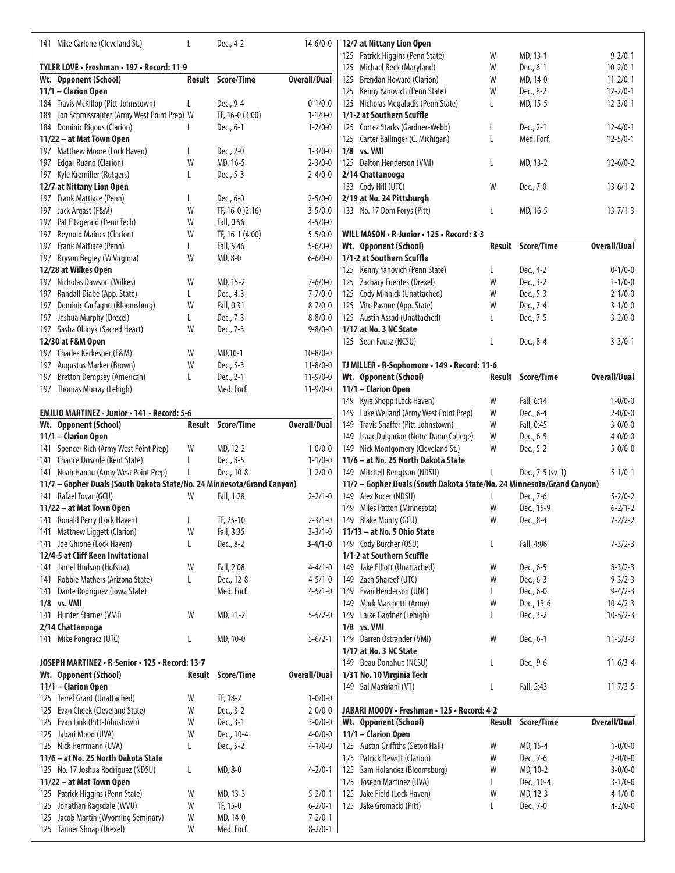|     | 141 Mike Carlone (Cleveland St.)                                             | L      | Dec., 4-2                | $14-6/0-0$                     | 12/7 at Nittany Lion Open                                              |   |                          |                                |
|-----|------------------------------------------------------------------------------|--------|--------------------------|--------------------------------|------------------------------------------------------------------------|---|--------------------------|--------------------------------|
|     |                                                                              |        |                          |                                | Patrick Higgins (Penn State)<br>125                                    | W | MD, 13-1                 | $9 - 2/0 - 1$                  |
|     | TYLER LOVE . Freshman . 197 . Record: 11-9                                   |        |                          |                                | 125 Michael Beck (Maryland)                                            | W | Dec., 6-1                | $10 - 2/0 - 1$                 |
|     | Wt. Opponent (School)                                                        |        | <b>Result Score/Time</b> | <b>Overall/Dual</b>            | <b>Brendan Howard (Clarion)</b><br>125                                 | W | MD, 14-0                 | $11 - 2/0 - 1$                 |
|     | 11/1 - Clarion Open                                                          |        |                          |                                | 125 Kenny Yanovich (Penn State)                                        | W | Dec., 8-2                | $12 - 2/0 - 1$                 |
|     | 184 Travis McKillop (Pitt-Johnstown)                                         | L      | Dec., 9-4                | $0 - 1/0 - 0$                  | 125 Nicholas Megaludis (Penn State)                                    | L | MD, 15-5                 | $12 - 3/0 - 1$                 |
| 184 | Jon Schmissrauter (Army West Point Prep) W                                   |        | TF, 16-0 (3:00)          | $1 - 1/0 - 0$                  | 1/1-2 at Southern Scuffle                                              |   |                          |                                |
|     | 184 Dominic Rigous (Clarion)                                                 | L      | Dec., 6-1                | $1 - 2/0 - 0$                  | 125 Cortez Starks (Gardner-Webb)                                       | L | Dec., 2-1                | $12 - 4/0 - 1$                 |
|     | 11/22 - at Mat Town Open                                                     |        |                          |                                | 125 Carter Ballinger (C. Michigan)                                     | L | Med. Forf.               | $12 - 5/0 - 1$                 |
|     | 197 Matthew Moore (Lock Haven)                                               | L      | Dec., 2-0                | $1 - 3/0 - 0$                  | 1/8 vs. VMI                                                            |   |                          |                                |
| 197 | <b>Edgar Ruano (Clarion)</b>                                                 | W      | MD, 16-5                 | $2 - 3/0 - 0$                  | 125 Dalton Henderson (VMI)                                             | L | MD, 13-2                 | $12 - 6/0 - 2$                 |
|     | 197 Kyle Kremiller (Rutgers)                                                 | L      | Dec., 5-3                | $2 - 4/0 - 0$                  | 2/14 Chattanooga                                                       |   |                          |                                |
|     | 12/7 at Nittany Lion Open                                                    |        |                          |                                | 133 Cody Hill (UTC)                                                    | W | Dec., 7-0                | $13-6/1-2$                     |
|     | 197 Frank Mattiace (Penn)                                                    | L      | Dec., 6-0                | $2 - 5/0 - 0$                  | 2/19 at No. 24 Pittsburgh                                              |   |                          |                                |
|     | 197 Jack Argast (F&M)                                                        | W      | TF, 16-0 )2:16)          | $3 - 5/0 - 0$                  | 133 No. 17 Dom Forys (Pitt)                                            | L | MD, 16-5                 | $13 - 7/1 - 3$                 |
|     | 197 Pat Fitzgerald (Penn Tech)                                               | W      | Fall, 0:56               | $4 - 5/0 - 0$                  |                                                                        |   |                          |                                |
| 197 | <b>Reynold Maines (Clarion)</b>                                              | W      | TF, 16-1 (4:00)          | $5 - 5/0 - 0$                  | WILL MASON . R-Junior . 125 . Record: 3-3                              |   |                          |                                |
|     | 197 Frank Mattiace (Penn)                                                    | L      | Fall, 5:46               | $5 - 6/0 - 0$                  | Wt. Opponent (School)                                                  |   | <b>Result Score/Time</b> | <b>Overall/Dual</b>            |
| 197 | Bryson Begley (W.Virginia)                                                   | W      | MD, 8-0                  | $6 - 6/0 - 0$                  | 1/1-2 at Southern Scuffle                                              |   |                          |                                |
|     | 12/28 at Wilkes Open                                                         |        |                          |                                | 125 Kenny Yanovich (Penn State)                                        | L | Dec., 4-2                | $0 - 1/0 - 0$                  |
|     | 197 Nicholas Dawson (Wilkes)                                                 | W      | MD, 15-2                 | $7 - 6/0 - 0$                  | 125 Zachary Fuentes (Drexel)                                           | W | Dec., 3-2                | $1 - 1/0 - 0$                  |
| 197 | Randall Diabe (App. State)                                                   | L      | Dec., 4-3                | $7 - 7/0 - 0$                  | 125 Cody Minnick (Unattached)                                          | W | Dec., 5-3                | $2 - 1/0 - 0$                  |
| 197 | Dominic Carfagno (Bloomsburg)                                                | W      | Fall, 0:31               | $8 - 7/0 - 0$                  | 125 Vito Pasone (App. State)                                           | W | Dec., 7-4                | $3 - 1/0 - 0$                  |
| 197 | Joshua Murphy (Drexel)                                                       | L      | Dec., 7-3                | $8 - 8/0 - 0$                  | 125 Austin Assad (Unattached)                                          | L | Dec., 7-5                | $3 - 2/0 - 0$                  |
|     | 197 Sasha Oliinyk (Sacred Heart)                                             | W      | Dec., 7-3                | $9 - 8/0 - 0$                  | 1/17 at No. 3 NC State                                                 |   |                          |                                |
|     | 12/30 at F&M Open                                                            |        |                          |                                | 125 Sean Fausz (NCSU)                                                  | L | Dec., 8-4                | $3 - 3/0 - 1$                  |
|     | 197 Charles Kerkesner (F&M)                                                  | W      | MD, 10-1                 | $10 - 8/0 - 0$                 |                                                                        |   |                          |                                |
|     |                                                                              | W      | Dec., 5-3                |                                |                                                                        |   |                          |                                |
| 197 | Augustus Marker (Brown)                                                      |        | Dec., 2-1                | $11 - 8/0 - 0$                 | TJ MILLER · R-Sophomore · 149 · Record: 11-6                           |   | <b>Result Score/Time</b> | <b>Overall/Dual</b>            |
| 197 | <b>Bretton Dempsey (American)</b>                                            | L      | Med. Forf.               | $11-9/0-0$                     | Wt. Opponent (School)                                                  |   |                          |                                |
|     | 197 Thomas Murray (Lehigh)                                                   |        |                          | $11-9/0-0$                     | 11/1 - Clarion Open                                                    |   |                          |                                |
|     |                                                                              |        |                          |                                | 149 Kyle Shopp (Lock Haven)                                            | W | Fall, 6:14               | $1 - 0/0 - 0$                  |
|     | <b>EMILIO MARTINEZ · Junior · 141 · Record: 5-6</b><br>Wt. Opponent (School) |        |                          |                                | Luke Weiland (Army West Point Prep)<br>149                             | W | Dec., 6-4                | $2 - 0/0 - 0$<br>$3 - 0/0 - 0$ |
|     |                                                                              |        | Result Score/Time        | <b>Overall/Dual</b>            | Travis Shaffer (Pitt-Johnstown)<br>149                                 | W | Fall, 0:45               |                                |
|     |                                                                              |        |                          |                                |                                                                        |   |                          |                                |
|     | 11/1 - Clarion Open                                                          |        |                          |                                | Isaac Dulgarian (Notre Dame College)<br>149                            | W | Dec., 6-5                | $4 - 0/0 - 0$                  |
|     | 141 Spencer Rich (Army West Point Prep)                                      | W      | MD, 12-2                 | $1 - 0/0 - 0$                  | 149 Nick Montgomery (Cleveland St.)                                    | W | Dec., 5-2                | $5 - 0/0 - 0$                  |
|     | 141 Chance Driscole (Kent State)                                             | L      | Dec., 8-5                | $1 - 1/0 - 0$                  | 11/6 - at No. 25 North Dakota State                                    |   |                          |                                |
|     | 141 Noah Hanau (Army West Point Prep)                                        | L      | Dec., 10-8               | $1 - 2/0 - 0$                  | 149 Mitchell Bengtson (NDSU)                                           | L | Dec., 7-5 (sv-1)         | $5 - 1/0 - 1$                  |
|     | 11/7 - Gopher Duals (South Dakota State/No. 24 Minnesota/Grand Canyon)       |        |                          |                                | 11/7 - Gopher Duals (South Dakota State/No. 24 Minnesota/Grand Canyon) |   |                          |                                |
|     | 141 Rafael Tovar (GCU)                                                       | W      | Fall, 1:28               | $2 - 2/1 - 0$                  | 149 Alex Kocer (NDSU)                                                  | L | Dec., 7-6                | $5 - 2/0 - 2$                  |
|     | 11/22 - at Mat Town Open                                                     |        |                          |                                | 149 Miles Patton (Minnesota)                                           | W | Dec., 15-9               | $6 - 2/1 - 2$                  |
|     | 141 Ronald Perry (Lock Haven)                                                | L      | TF, 25-10                | $2 - 3/1 - 0$                  | 149 Blake Monty (GCU)                                                  | W | Dec., 8-4                | $7 - 2/2 - 2$                  |
|     | 141 Matthew Liggett (Clarion)                                                | W      | Fall, 3:35               | $3 - 3/1 - 0$                  | 11/13 - at No. 5 Ohio State                                            |   |                          |                                |
|     | 141 Joe Ghione (Lock Haven)                                                  | L      | Dec., 8-2                | $3 - 4/1 - 0$                  | 149 Cody Burcher (OSU)                                                 | L | Fall, 4:06               | $7 - 3/2 - 3$                  |
|     | 12/4-5 at Cliff Keen Invitational                                            |        |                          |                                | 1/1-2 at Southern Scuffle                                              |   |                          |                                |
|     | 141 Jamel Hudson (Hofstra)                                                   | W      | Fall, 2:08               | $4 - 4/1 - 0$                  | 149 Jake Elliott (Unattached)                                          | W | Dec., 6-5                | $8 - 3/2 - 3$                  |
|     | 141 Robbie Mathers (Arizona State)                                           | L      | Dec., 12-8               | $4 - 5/1 - 0$                  | 149 Zach Shareef (UTC)                                                 | W | Dec., 6-3                | $9 - 3/2 - 3$                  |
| 141 | Dante Rodriguez (Iowa State)                                                 |        | Med. Forf.               | $4 - 5/1 - 0$                  | 149 Evan Henderson (UNC)                                               | L | Dec., 6-0                | $9 - 4/2 - 3$                  |
|     | 1/8 vs. VMI                                                                  |        |                          |                                | 149 Mark Marchetti (Army)                                              | W | Dec., 13-6               | $10 - 4/2 - 3$                 |
|     | 141 Hunter Starner (VMI)                                                     | W      | MD, 11-2                 | $5 - 5/2 - 0$                  | 149 Laike Gardner (Lehigh)                                             | L | Dec., 3-2                | $10 - 5/2 - 3$                 |
|     | 2/14 Chattanooga                                                             |        |                          |                                | 1/8 vs. VMI                                                            |   |                          |                                |
|     |                                                                              | L      | MD, 10-0                 | $5 - 6/2 - 1$                  | 149 Darren Ostrander (VMI)                                             | W | Dec., 6-1                | $11 - 5/3 - 3$                 |
|     | 141 Mike Pongracz (UTC)                                                      |        |                          |                                | 1/17 at No. 3 NC State                                                 |   |                          |                                |
|     | JOSEPH MARTINEZ • R-Senior • 125 • Record: 13-7                              |        |                          |                                |                                                                        |   |                          |                                |
|     |                                                                              | Result | <b>Score/Time</b>        |                                | 149 Beau Donahue (NCSU)                                                | L | Dec., 9-6                | $11-6/3-4$                     |
|     | Wt. Opponent (School)                                                        |        |                          | <b>Overall/Dual</b>            | 1/31 No. 10 Virginia Tech                                              |   |                          |                                |
|     | 11/1 - Clarion Open                                                          |        |                          |                                | 149 Sal Mastriani (VT)                                                 | L | Fall, 5:43               | $11 - 7/3 - 5$                 |
|     | 125 Terrel Grant (Unattached)                                                | W      | TF, 18-2                 | $1 - 0/0 - 0$                  |                                                                        |   |                          |                                |
|     | 125 Evan Cheek (Cleveland State)                                             | W      | Dec., 3-2                | $2 - 0/0 - 0$                  | JABARI MOODY · Freshman · 125 · Record: 4-2                            |   |                          |                                |
|     | 125 Evan Link (Pitt-Johnstown)                                               | W      | Dec., 3-1                | $3 - 0/0 - 0$                  | Wt. Opponent (School)                                                  |   | Result Score/Time        | <b>Overall/Dual</b>            |
|     | 125 Jabari Mood (UVA)                                                        | W      | Dec., 10-4               | $4 - 0/0 - 0$                  | 11/1 - Clarion Open                                                    |   |                          |                                |
|     | 125 Nick Herrmann (UVA)                                                      | L      | Dec., 5-2                | $4 - 1/0 - 0$                  | 125 Austin Griffiths (Seton Hall)                                      | W | MD, 15-4                 | $1 - 0/0 - 0$                  |
|     | 11/6 - at No. 25 North Dakota State                                          |        |                          |                                | 125 Patrick Dewitt (Clarion)                                           | W | Dec., 7-6                | $2 - 0/0 - 0$                  |
|     | 125 No. 17 Joshua Rodriguez (NDSU)                                           | L      | MD, 8-0                  | $4 - 2/0 - 1$                  | 125 Sam Holandez (Bloomsburg)                                          | W | MD, 10-2                 | $3 - 0/0 - 0$                  |
|     | 11/22 - at Mat Town Open                                                     |        |                          |                                | 125 Joseph Martinez (UVA)                                              | L | Dec., 10-4               | $3 - 1/0 - 0$                  |
|     | 125 Patrick Higgins (Penn State)                                             | W      | MD, 13-3                 | $5 - 2/0 - 1$                  | 125 Jake Field (Lock Haven)                                            | W | MD, 12-3                 | $4 - 1/0 - 0$                  |
| 125 | Jonathan Ragsdale (WVU)                                                      | W      | TF, 15-0                 | $6 - 2/0 - 1$                  | 125 Jake Gromacki (Pitt)                                               | L | Dec., 7-0                | $4 - 2/0 - 0$                  |
| 125 | Jacob Martin (Wyoming Seminary)<br>125 Tanner Shoap (Drexel)                 | W<br>W | MD, 14-0<br>Med. Forf.   | $7 - 2/0 - 1$<br>$8 - 2/0 - 1$ |                                                                        |   |                          |                                |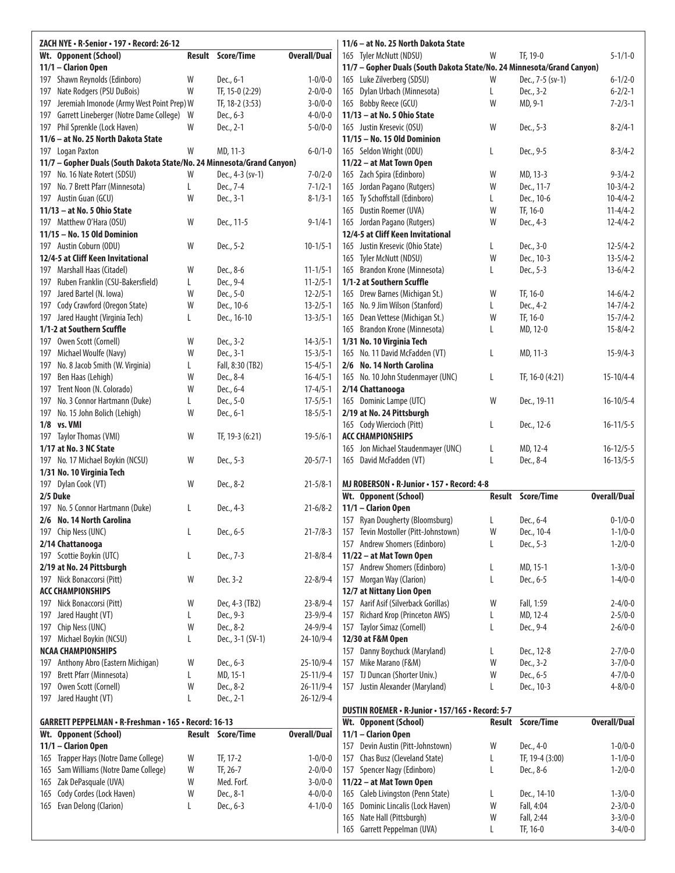|     | ZACH NYE · R-Senior · 197 · Record: 26-12                              |    |                          | 11/6 - at No. 25 North Dakota State |                                                                        |   |                          |                     |  |
|-----|------------------------------------------------------------------------|----|--------------------------|-------------------------------------|------------------------------------------------------------------------|---|--------------------------|---------------------|--|
|     | Wt. Opponent (School)                                                  |    | <b>Result Score/Time</b> | <b>Overall/Dual</b>                 | 165 Tyler McNutt (NDSU)                                                | W | TF, 19-0                 | $5 - 1/1 - 0$       |  |
|     | 11/1 - Clarion Open                                                    |    |                          |                                     | 11/7 - Gopher Duals (South Dakota State/No. 24 Minnesota/Grand Canyon) |   |                          |                     |  |
| 197 | Shawn Reynolds (Edinboro)                                              | W  | Dec., 6-1                | $1 - 0/0 - 0$                       | 165 Luke Zilverberg (SDSU)                                             | W | Dec., 7-5 (sv-1)         | $6 - 1/2 - 0$       |  |
| 197 | Nate Rodgers (PSU DuBois)                                              | W  | TF, 15-0 (2:29)          | $2 - 0/0 - 0$                       | 165 Dylan Urbach (Minnesota)                                           | L | Dec., 3-2                | $6 - 2/2 - 1$       |  |
| 197 | Jeremiah Imonode (Army West Point Prep) W                              |    | TF, 18-2 (3:53)          | $3 - 0/0 - 0$                       | 165 Bobby Reece (GCU)                                                  | W | MD, 9-1                  | $7 - 2/3 - 1$       |  |
| 197 | Garrett Lineberger (Notre Dame College)                                | W  | Dec., 6-3                | $4 - 0/0 - 0$                       | 11/13 - at No. 5 Ohio State                                            |   |                          |                     |  |
| 197 | Phil Sprenkle (Lock Haven)                                             | W  | Dec., 2-1                | $5 - 0/0 - 0$                       | 165 Justin Kresevic (OSU)                                              | W | Dec., 5-3                | $8 - 2/4 - 1$       |  |
|     | 11/6 - at No. 25 North Dakota State                                    |    |                          |                                     | 11/15 - No. 15 Old Dominion                                            |   |                          |                     |  |
|     | 197 Logan Paxton                                                       | W  | MD, 11-3                 | $6 - 0/1 - 0$                       | 165 Seldon Wright (ODU)                                                | L | Dec., 9-5                | $8 - 3/4 - 2$       |  |
|     | 11/7 - Gopher Duals (South Dakota State/No. 24 Minnesota/Grand Canyon) |    |                          |                                     | 11/22 - at Mat Town Open                                               |   |                          |                     |  |
|     | 197 No. 16 Nate Rotert (SDSU)                                          | W  | Dec., 4-3 (sv-1)         | $7 - 0/2 - 0$                       | 165 Zach Spira (Edinboro)                                              | W | MD, 13-3                 | $9 - 3/4 - 2$       |  |
| 197 | No. 7 Brett Pfarr (Minnesota)                                          | L  | Dec., 7-4                | $7 - 1/2 - 1$                       | 165 Jordan Pagano (Rutgers)                                            | W | Dec., 11-7               | $10-3/4-2$          |  |
|     | 197 Austin Guan (GCU)                                                  | W  | Dec., 3-1                | $8 - 1/3 - 1$                       | 165 Ty Schoffstall (Edinboro)                                          | L | Dec., 10-6               | $10-4/4-2$          |  |
|     | 11/13 - at No. 5 Ohio State                                            |    |                          |                                     | 165 Dustin Roemer (UVA)                                                | W | TF, 16-0                 | $11 - 4/4 - 2$      |  |
|     | 197 Matthew O'Hara (OSU)                                               | W  | Dec., 11-5               | $9 - 1/4 - 1$                       | 165 Jordan Pagano (Rutgers)                                            | W | Dec., 4-3                | $12 - 4/4 - 2$      |  |
|     | 11/15 - No. 15 Old Dominion                                            |    |                          |                                     | 12/4-5 at Cliff Keen Invitational                                      |   |                          |                     |  |
|     | 197 Austin Coburn (ODU)                                                | W  | Dec., 5-2                | $10 - 1/5 - 1$                      | 165 Justin Kresevic (Ohio State)                                       | L | Dec., 3-0                | $12 - 5/4 - 2$      |  |
|     | 12/4-5 at Cliff Keen Invitational                                      |    |                          |                                     | 165 Tyler McNutt (NDSU)                                                | W | Dec., 10-3               | $13 - 5/4 - 2$      |  |
|     | 197 Marshall Haas (Citadel)                                            | W  | Dec., 8-6                | $11 - 1/5 - 1$                      | 165 Brandon Krone (Minnesota)                                          | L | Dec., 5-3                | $13-6/4-2$          |  |
| 197 | Ruben Franklin (CSU-Bakersfield)                                       | L. | Dec., 9-4                | $11 - 2/5 - 1$                      | 1/1-2 at Southern Scuffle                                              |   |                          |                     |  |
| 197 | Jared Bartel (N. Iowa)                                                 | W  | Dec., 5-0                | $12 - 2/5 - 1$                      | 165 Drew Barnes (Michigan St.)                                         | W | TF, 16-0                 | $14 - 6/4 - 2$      |  |
| 197 | Cody Crawford (Oregon State)                                           | W  | Dec., 10-6               | $13 - 2/5 - 1$                      | 165 No. 9 Jim Wilson (Stanford)                                        | L | Dec., 4-2                | $14 - 7/4 - 2$      |  |
|     | 197 Jared Haught (Virginia Tech)                                       | L  | Dec., 16-10              | $13 - 3/5 - 1$                      | 165 Dean Vettese (Michigan St.)                                        | W | TF, 16-0                 | $15 - 7/4 - 2$      |  |
|     | 1/1-2 at Southern Scuffle                                              |    |                          |                                     | 165 Brandon Krone (Minnesota)                                          | L | MD, 12-0                 | $15 - 8/4 - 2$      |  |
| 197 | Owen Scott (Cornell)                                                   | W  | Dec., 3-2                | $14 - 3/5 - 1$                      | 1/31 No. 10 Virginia Tech                                              |   |                          |                     |  |
|     | 197 Michael Woulfe (Navy)                                              | W  | Dec., 3-1                | $15 - 3/5 - 1$                      | 165 No. 11 David McFadden (VT)                                         | L | MD, 11-3                 | $15 - 9/4 - 3$      |  |
| 197 | No. 8 Jacob Smith (W. Virginia)                                        | L  | Fall, 8:30 (TB2)         | $15 - 4/5 - 1$                      | 2/6 No. 14 North Carolina                                              |   |                          |                     |  |
| 197 | Ben Haas (Lehigh)                                                      | W  | Dec., 8-4                | $16 - 4/5 - 1$                      | 165 No. 10 John Studenmayer (UNC)                                      | L | TF, 16-0 (4:21)          | $15 - 10/4 - 4$     |  |
| 197 | Trent Noon (N. Colorado)                                               | W  | Dec., 6-4                | $17 - 4/5 - 1$                      | 2/14 Chattanooga                                                       |   |                          |                     |  |
| 197 | No. 3 Connor Hartmann (Duke)                                           | L  | Dec., 5-0                | $17 - 5/5 - 1$                      | 165 Dominic Lampe (UTC)                                                | W | Dec., 19-11              | $16 - 10/5 - 4$     |  |
|     | 197 No. 15 John Bolich (Lehigh)                                        | W  | Dec., 6-1                | $18 - 5/5 - 1$                      | 2/19 at No. 24 Pittsburgh                                              |   |                          |                     |  |
|     | 1/8 vs. VMI                                                            |    |                          |                                     | 165 Cody Wiercioch (Pitt)                                              | L | Dec., 12-6               | $16 - 11/5 - 5$     |  |
|     | 197 Taylor Thomas (VMI)                                                | W  | TF, 19-3 (6:21)          | $19 - 5/6 - 1$                      | <b>ACC CHAMPIONSHIPS</b>                                               |   |                          |                     |  |
|     |                                                                        |    |                          |                                     |                                                                        |   |                          |                     |  |
|     | 1/17 at No. 3 NC State                                                 |    |                          |                                     | 165 Jon Michael Staudenmayer (UNC)                                     | L | MD, 12-4                 | $16 - 12/5 - 5$     |  |
|     | 197 No. 17 Michael Boykin (NCSU)                                       | W  | Dec., 5-3                | $20 - 5/7 - 1$                      | 165 David McFadden (VT)                                                | L | Dec., 8-4                | $16 - 13/5 - 5$     |  |
|     | 1/31 No. 10 Virginia Tech                                              |    |                          |                                     |                                                                        |   |                          |                     |  |
|     | 197 Dylan Cook (VT)                                                    | W  | Dec., 8-2                | $21 - 5/8 - 1$                      | MJ ROBERSON . R-Junior . 157 . Record: 4-8                             |   |                          |                     |  |
|     | 2/5 Duke                                                               |    |                          |                                     | Wt. Opponent (School)                                                  |   | Result Score/Time        | <b>Overall/Dual</b> |  |
|     | 197 No. 5 Connor Hartmann (Duke)                                       | L  | Dec., 4-3                | $21 - 6/8 - 2$                      | 11/1 - Clarion Open                                                    |   |                          |                     |  |
|     | 2/6 No. 14 North Carolina                                              |    |                          |                                     | 157 Ryan Dougherty (Bloomsburg)                                        | L | Dec., 6-4                | $0 - 1/0 - 0$       |  |
|     | 197 Chip Ness (UNC)                                                    | L  | Dec., 6-5                | $21 - 7/8 - 3$                      | 157 Tevin Mostoller (Pitt-Johnstown)                                   | W | Dec., 10-4               | $1 - 1/0 - 0$       |  |
|     | 2/14 Chattanooga                                                       |    |                          |                                     | 157 Andrew Shomers (Edinboro)                                          | L | Dec., 5-3                | $1 - 2/0 - 0$       |  |
|     | 197 Scottie Boykin (UTC)                                               | L  | Dec., 7-3                | $21 - 8/8 - 4$                      | 11/22 - at Mat Town Open                                               |   |                          |                     |  |
|     | 2/19 at No. 24 Pittsburgh                                              |    |                          |                                     | 157 Andrew Shomers (Edinboro)                                          | L | MD, 15-1                 | $1 - 3/0 - 0$       |  |
|     | 197 Nick Bonaccorsi (Pitt)                                             | W  | Dec. 3-2                 | $22 - 8/9 - 4$                      | 157 Morgan Way (Clarion)                                               | L | Dec., 6-5                | $1 - 4/0 - 0$       |  |
|     | <b>ACC CHAMPIONSHIPS</b>                                               |    |                          |                                     | 12/7 at Nittany Lion Open                                              |   |                          |                     |  |
| 197 | Nick Bonaccorsi (Pitt)                                                 | W  | Dec, 4-3 (TB2)           | $23 - 8/9 - 4$                      | 157 Aarif Asif (Silverback Gorillas)                                   | W | Fall, 1:59               | $2 - 4/0 - 0$       |  |
| 197 | Jared Haught (VT)                                                      | L  | Dec., 9-3                | $23 - 9/9 - 4$                      | Richard Krop (Princeton AWS)<br>157                                    | L | MD, 12-4                 | $2 - 5/0 - 0$       |  |
| 197 | Chip Ness (UNC)                                                        | W  | Dec., 8-2                | $24 - 9/9 - 4$                      | 157 Taylor Simaz (Cornell)                                             | L | Dec., 9-4                | $2 - 6/0 - 0$       |  |
| 197 |                                                                        | L  | Dec., 3-1 (SV-1)         | 24-10/9-4                           | 12/30 at F&M Open                                                      |   |                          |                     |  |
|     | Michael Boykin (NCSU)<br><b>NCAA CHAMPIONSHIPS</b>                     |    |                          |                                     | 157 Danny Boychuck (Maryland)                                          | L | Dec., 12-8               | $2 - 7/0 - 0$       |  |
| 197 |                                                                        | W  |                          |                                     | 157 Mike Marano (F&M)                                                  | W |                          | $3 - 7/0 - 0$       |  |
| 197 | Anthony Abro (Eastern Michigan)<br>Brett Pfarr (Minnesota)             | L  | Dec., 6-3<br>MD, 15-1    | 25-10/9-4<br>$25 - 11/9 - 4$        | 157 TJ Duncan (Shorter Univ.)                                          | W | Dec., 3-2<br>Dec., 6-5   | $4 - 7/0 - 0$       |  |
| 197 |                                                                        | W  |                          | $26 - 11/9 - 4$                     |                                                                        | L | Dec., 10-3               | $4 - 8/0 - 0$       |  |
|     | Owen Scott (Cornell)                                                   | L  | Dec., 8-2<br>Dec., 2-1   | $26 - 12/9 - 4$                     | 157 Justin Alexander (Maryland)                                        |   |                          |                     |  |
|     | 197 Jared Haught (VT)                                                  |    |                          |                                     | DUSTIN ROEMER • R-Junior • 157/165 • Record: 5-7                       |   |                          |                     |  |
|     | GARRETT PEPPELMAN • R-Freshman • 165 • Record: 16-13                   |    |                          |                                     | Wt. Opponent (School)                                                  |   | <b>Result Score/Time</b> | <b>Overall/Dual</b> |  |
|     | Wt. Opponent (School)                                                  |    | <b>Result Score/Time</b> | <b>Overall/Dual</b>                 | 11/1 - Clarion Open                                                    |   |                          |                     |  |
|     | 11/1 - Clarion Open                                                    |    |                          |                                     | 157 Devin Austin (Pitt-Johnstown)                                      | W | Dec., 4-0                | $1 - 0/0 - 0$       |  |
| 165 | Trapper Hays (Notre Dame College)                                      | W  | TF, 17-2                 | $1 - 0/0 - 0$                       | 157 Chas Busz (Cleveland State)                                        | L | TF, 19-4 (3:00)          | $1 - 1/0 - 0$       |  |
| 165 | Sam Williams (Notre Dame College)                                      | W  | TF, 26-7                 | $2 - 0/0 - 0$                       | 157 Spencer Nagy (Edinboro)                                            | L | Dec., 8-6                | $1 - 2/0 - 0$       |  |
|     | 165 Zak DePasquale (UVA)                                               | W  | Med. Forf.               | $3 - 0/0 - 0$                       | 11/22 - at Mat Town Open                                               |   |                          |                     |  |
| 165 | Cody Cordes (Lock Haven)                                               | W  | Dec., 8-1                | $4 - 0/0 - 0$                       | 165 Caleb Livingston (Penn State)                                      | L | Dec., 14-10              | $1 - 3/0 - 0$       |  |
|     | 165 Evan Delong (Clarion)                                              | L  | Dec., 6-3                | $4 - 1/0 - 0$                       | 165 Dominic Lincalis (Lock Haven)                                      | W | Fall, 4:04               | $2 - 3/0 - 0$       |  |
|     |                                                                        |    |                          |                                     | 165 Nate Hall (Pittsburgh)                                             | W | Fall, 2:44               | $3 - 3/0 - 0$       |  |
|     |                                                                        |    |                          |                                     | 165 Garrett Peppelman (UVA)                                            | L | TF, 16-0                 | $3-4/0-0$           |  |